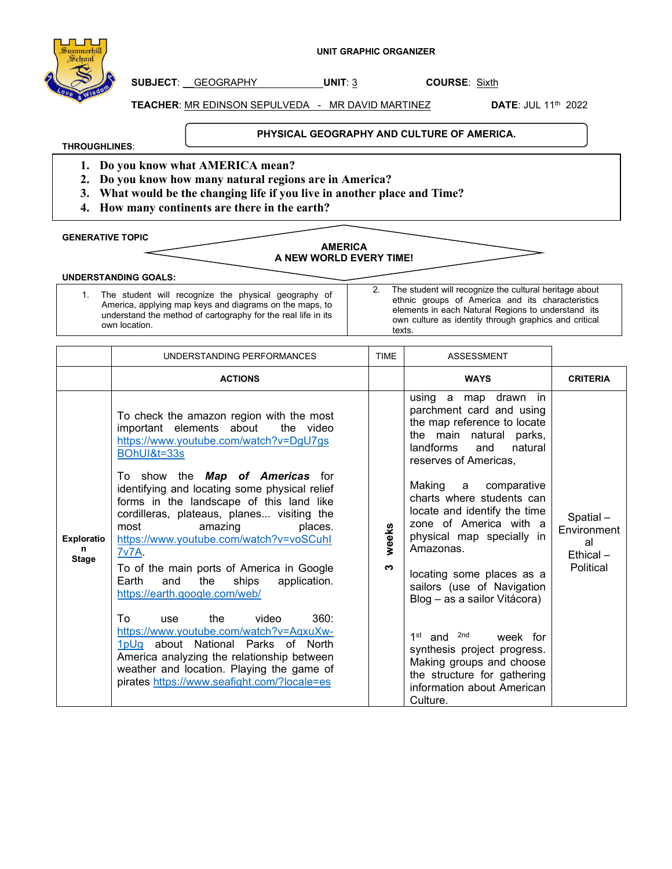

**SUBJECT**: \_\_GEOGRAPHY **UNIT**: 3 **COURSE**: Sixth

**TEACHER**: MR EDINSON SEPULVEDA - MR DAVID MARTINEZ **DATE**: JUL 11th 2022

**THROUGHLINES**:

**PHYSICAL GEOGRAPHY AND CULTURE OF AMERICA.** 

- **1. Do you know what AMERICA mean?**
- **2. Do you know how many natural regions are in America?**
- **3. What would be the changing life if you live in another place and Time?**
- **4. How many continents are there in the earth?**

**GENERATIVE TOPIC** 

## **AMERICA A NEW WORLD EVERY TIME!**

**UNDERSTANDING GOALS:** 

1. The student will recognize the physical geography of America, applying map keys and diagrams on the maps, to understand the method of cartography for the real life in its own location.

2. The student will recognize the cultural heritage about ethnic groups of America and its characteristics elements in each Natural Regions to understand its own culture as identity through graphics and critical texts.

|                                        | UNDERSTANDING PERFORMANCES                                                                                                                                                                                                                                                                                                                                                                                                                                                                                                                                                                                                                                                                                                        | <b>TIME</b> | <b>ASSESSMENT</b>                                                                                                                                                                                                                                                                                                                                                                                                                                                                                                                   |                                                           |
|----------------------------------------|-----------------------------------------------------------------------------------------------------------------------------------------------------------------------------------------------------------------------------------------------------------------------------------------------------------------------------------------------------------------------------------------------------------------------------------------------------------------------------------------------------------------------------------------------------------------------------------------------------------------------------------------------------------------------------------------------------------------------------------|-------------|-------------------------------------------------------------------------------------------------------------------------------------------------------------------------------------------------------------------------------------------------------------------------------------------------------------------------------------------------------------------------------------------------------------------------------------------------------------------------------------------------------------------------------------|-----------------------------------------------------------|
|                                        | <b>ACTIONS</b>                                                                                                                                                                                                                                                                                                                                                                                                                                                                                                                                                                                                                                                                                                                    |             | <b>WAYS</b>                                                                                                                                                                                                                                                                                                                                                                                                                                                                                                                         | <b>CRITERIA</b>                                           |
| <b>Exploratio</b><br>n<br><b>Stage</b> | To check the amazon region with the most<br>important elements about<br>the video<br>https://www.youtube.com/watch?v=DgU7gs<br>BOhUI&t=33s<br>To show the <b>Map of Americas</b> for<br>identifying and locating some physical relief<br>forms in the landscape of this land like<br>cordilleras, plateaus, planes visiting the<br>most<br>amazing<br>places.<br>https://www.youtube.com/watch?v=voSCuhl<br><b>7v7A.</b><br>To of the main ports of America in Google<br>Earth<br>the<br>ships<br>application.<br>and<br>https://earth.google.com/web/<br>360:<br>the<br>video<br>To<br><b>use</b><br>https://www.youtube.com/watch?v=AqxuXw-<br>1pUg about National Parks of North<br>America analyzing the relationship between | weeks<br>ო  | using a map drawn in<br>parchment card and using<br>the map reference to locate<br>the main natural parks,<br>landforms<br>natural<br>and<br>reserves of Americas,<br>Making a comparative<br>charts where students can<br>locate and identify the time<br>zone of America with a<br>physical map specially in<br>Amazonas.<br>locating some places as a<br>sailors (use of Navigation<br>Blog - as a sailor Vitácora)<br>1 <sup>st</sup> and <sup>2nd</sup><br>week for<br>synthesis project progress.<br>Making groups and choose | Spatial-<br>Environment<br>al<br>$Ethical -$<br>Political |
|                                        | weather and location. Playing the game of<br>pirates https://www.seafight.com/?locale=es                                                                                                                                                                                                                                                                                                                                                                                                                                                                                                                                                                                                                                          |             | the structure for gathering<br>information about American<br>Culture.                                                                                                                                                                                                                                                                                                                                                                                                                                                               |                                                           |